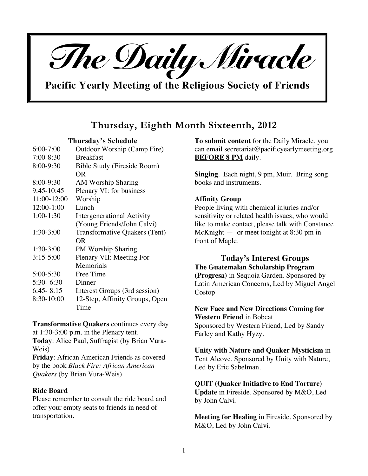

**Pacific Yearly Meeting of the Religious Society of Friends**

# **Thursday, Eighth Month Sixteenth, 2012**

**Thursday's Schedule**

| $6:00 - 7:00$ | Outdoor Worship (Camp Fire)    |
|---------------|--------------------------------|
| $7:00-8:30$   | <b>Breakfast</b>               |
| 8:00-9:30     | Bible Study (Fireside Room)    |
|               | OR                             |
| 8:00-9:30     | <b>AM Worship Sharing</b>      |
| 9:45-10:45    | Plenary VI: for business       |
| 11:00-12:00   | Worship                        |
| 12:00-1:00    | Lunch                          |
| $1:00-1:30$   | Intergenerational Activity     |
|               | (Young Friends/John Calvi)     |
| $1:30-3:00$   | Transformative Quakers (Tent)  |
|               | OR.                            |
| $1:30-3:00$   | PM Worship Sharing             |
| $3:15 - 5:00$ | Plenary VII: Meeting For       |
|               | Memorials                      |
| 5:00-5:30     | Free Time                      |
| $5:30 - 6:30$ | Dinner                         |
| $6:45 - 8:15$ | Interest Groups (3rd session)  |
| 8:30-10:00    | 12-Step, Affinity Groups, Open |
|               | Time                           |

**Transformative Quakers** continues every day at 1:30-3:00 p.m. in the Plenary tent.

**Today**: Alice Paul, Suffragist (by Brian Vura-Weis)

**Friday**: African American Friends as covered by the book *Black Fire: African American Quakers* (by Brian Vura-Weis)

## **Ride Board**

Please remember to consult the ride board and offer your empty seats to friends in need of transportation.

**To submit content** for the Daily Miracle, you can email secretariat@pacificyearlymeeting.org **BEFORE 8 PM** daily.

**Singing**. Each night, 9 pm, Muir. Bring song books and instruments.

# **Affinity Group**

People living with chemical injuries and/or sensitivity or related health issues, who would like to make contact, please talk with Constance McKnight — or meet tonight at 8:30 pm in front of Maple.

**Today's Interest Groups The Guatemalan Scholarship Program (Progresa)** in Sequoia Garden. Sponsored by Latin American Concerns, Led by Miguel Angel Costop

**New Face and New Directions Coming for Western Friend** in Bobcat Sponsored by Western Friend, Led by Sandy Farley and Kathy Hyzy.

**Unity with Nature and Quaker Mysticism** in Tent Alcove. Sponsored by Unity with Nature, Led by Eric Sabelman.

## **QUIT (Quaker Initiative to End Torture)**

**Update** in Fireside. Sponsored by M&O, Led by John Calvi.

**Meeting for Healing** in Fireside. Sponsored by M&O, Led by John Calvi.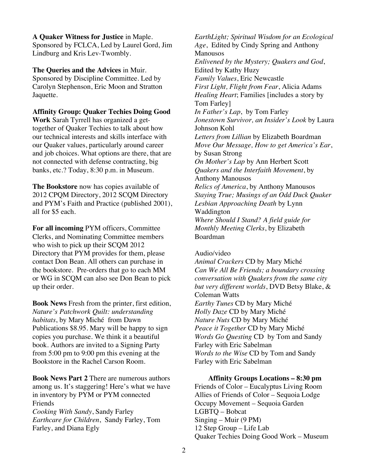**A Quaker Witness for Justice** in Maple. Sponsored by FCLCA, Led by Laurel Gord, Jim Lindburg and Kris Lev-Twombly.

**The Queries and the Advices** in Muir. Sponsored by Discipline Committee. Led by Carolyn Stephenson, Eric Moon and Stratton Jaquette.

**Affinity Group: Quaker Techies Doing Good Work** Sarah Tyrrell has organized a gettogether of Quaker Techies to talk about how our technical interests and skills interface with our Quaker values, particularly around career and job choices. What options are there, that are not connected with defense contracting, big banks, etc.? Today, 8:30 p.m. in Museum.

**The Bookstore** now has copies available of 2012 CPQM Directory, 2012 SCQM Directory and PYM's Faith and Practice (published 2001), all for \$5 each.

**For all incoming** PYM officers, Committee Clerks, and Nominating Committee members who wish to pick up their SCOM 2012 Directory that PYM provides for them, please contact Don Bean. All others can purchase in the bookstore. Pre-orders that go to each MM or WG in SCQM can also see Don Bean to pick up their order.

**Book News** Fresh from the printer, first edition, *Nature's Patchwork Quilt: understanding habitats*, by Mary Miché from Dawn Publications \$8.95. Mary will be happy to sign copies you purchase. We think it a beautiful book. Authors are invited to a Signing Party from 5:00 pm to 9:00 pm this evening at the Bookstore in the Rachel Carson Room.

**Book News Part 2** There are numerous authors among us. It's staggering! Here's what we have in inventory by PYM or PYM connected Friends *Cooking With Sandy*, Sandy Farley

*Earthcare for Children*, Sandy Farley, Tom Farley, and Diana Egly

*EarthLight; Spiritual Wisdom for an Ecological Age*, Edited by Cindy Spring and Anthony Manousos *Enlivened by the Mystery; Quakers and God*, Edited by Kathy Huzy *Family Values*, Eric Newcastle *First Light, Flight from Fear*, Alicia Adams *Healing Heart*; Families [includes a story by Tom Farley] *In Father's Lap*, by Tom Farley *Jonestown Survivor, an Insider's Look* by Laura Johnson Kohl *Letters from Lillian* by Elizabeth Boardman *Move Our Message, How to get America's Ear*, by Susan Strong *On Mother's Lap* by Ann Herbert Scott *Quakers and the Interfaith Movement*, by Anthony Manousos *Relics of America*, by Anthony Manousos *Staying True; Musings of an Odd Duck Quaker Lesbian Approaching Death* by Lynn Waddington *Where Should I Stand? A field guide for Monthly Meeting Clerks*, by Elizabeth Boardman

## Audio/video

*Animal Crackers* CD by Mary Miché *Can We All Be Friends; a boundary crossing conversation with Quakers from the same city but very different worlds*, DVD Betsy Blake, & Coleman Watts *Earthy Tunes* CD by Mary Miché *Holly Daze* CD by Mary Miché *Nature Nuts* CD by Mary Miché *Peace it Together* CD by Mary Miché *Words Go Questing* CD by Tom and Sandy Farley with Eric Sabelman *Words to the Wise* CD by Tom and Sandy Farley with Eric Sabelman

**Affinity Groups Locations – 8:30 pm** Friends of Color – Eucalyptus Living Room Allies of Friends of Color – Sequoia Lodge Occupy Movement – Sequoia Garden LGBTQ – Bobcat Singing – Muir (9 PM) 12 Step Group – Life Lab Quaker Techies Doing Good Work – Museum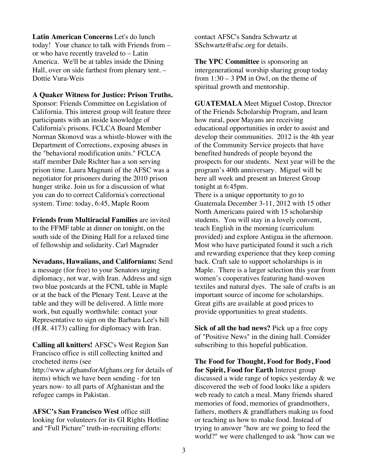**Latin American Concerns** Let's do lunch today! Your chance to talk with Friends from – or who have recently traveled to – Latin America. We'll be at tables inside the Dining Hall, over on side farthest from plenary tent. – Dottie Vura-Weis

**A Quaker Witness for Justice: Prison Truths.**

Sponsor: Friends Committee on Legislation of California. This interest group will feature three participants with an inside knowledge of California's prisons. FCLCA Board Member Norman Skonovd was a whistle-blower with the Department of Corrections, exposing abuses in the "behavioral modification units." FCLCA staff member Dale Richter has a son serving prison time. Laura Magnani of the AFSC was a negotiator for prisoners during the 2010 prison hunger strike. Join us for a discussion of what you can do to correct California's correctional system. Time: today, 6:45, Maple Room

**Friends from Multiracial Families** are invited to the FFMF table at dinner on tonight, on the south side of the Dining Hall for a relaxed time of fellowship and solidarity. Carl Magruder

**Nevadans, Hawaiians, and Californians:** Send a message (for free) to your Senators urging diplomacy, not war, with Iran. Address and sign two blue postcards at the FCNL table in Maple or at the back of the Plenary Tent. Leave at the table and they will be delivered. A little more work, but equally worthwhile: contact your Representative to sign on the Barbara Lee's bill (H.R. 4173) calling for diplomacy with Iran.

**Calling all knitters!** AFSC's West Region San Francisco office is still collecting knitted and crocheted items (see http://www.afghansforAfghans.org for details of items) which we have been sending - for ten years now- to all parts of Afghanistan and the refugee camps in Pakistan.

**AFSC's San Francisco West** office still looking for volunteers for its GI Rights Hotline and "Full Picture" truth-in-recruiting efforts:

contact AFSC's Sandra Schwartz at SSchwartz@afsc.org for details.

**The YPC Committee** is sponsoring an intergenerational worship sharing group today from 1:30 – 3 PM in Owl, on the theme of spiritual growth and mentorship.

**GUATEMALA** Meet Miguel Costop, Director of the Friends Scholarship Program, and learn how rural, poor Mayans are receiving educational opportunities in order to assist and develop their communities. 2012 is the 4th year of the Community Service projects that have benefited hundreds of people beyond the prospects for our students. Next year will be the program's 40th anniversary. Miguel will be here all week and present an Interest Group tonight at 6:45pm.

There is a unique opportunity to go to Guatemala December 3-11, 2012 with 15 other North Americans paired with 15 scholarship students. You will stay in a lovely convent, teach English in the morning (curriculum provided) and explore Antigua in the afternoon. Most who have participated found it such a rich and rewarding experience that they keep coming back. Craft sale to support scholarships is in Maple. There is a larger selection this year from women's cooperatives featuring hand-woven textiles and natural dyes. The sale of crafts is an important source of income for scholarships. Great gifts are available at good prices to provide opportunities to great students.

**Sick of all the bad news?** Pick up a free copy of "Positive News" in the dining hall. Consider subscribing to this hopeful publication.

**The Food for Thought, Food for Body, Food for Spirit, Food for Earth** Interest group discussed a wide range of topics yesterday & we discovered the web of food looks like a spiders web ready to catch a meal. Many friends shared memories of food, memories of grandmothers, fathers, mothers & grandfathers making us food or teaching us how to make food. Instead of trying to answer "how are we going to feed the world?" we were challenged to ask "how can we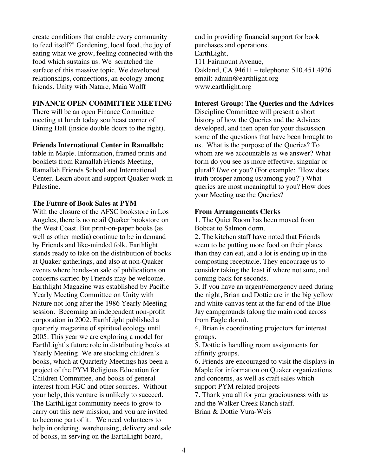create conditions that enable every community to feed itself?" Gardening, local food, the joy of eating what we grow, feeling connected with the food which sustains us. We scratched the surface of this massive topic. We developed relationships, connections, an ecology among friends. Unity with Nature, Maia Wolff

# **FINANCE OPEN COMMITTEE MEETING**

There will be an open Finance Committee meeting at lunch today southeast corner of Dining Hall (inside double doors to the right).

#### **Friends International Center in Ramallah:**

table in Maple. Information, framed prints and booklets from Ramallah Friends Meeting, Ramallah Friends School and International Center. Learn about and support Quaker work in Palestine.

#### **The Future of Book Sales at PYM**

With the closure of the AFSC bookstore in Los Angeles, there is no retail Quaker bookstore on the West Coast. But print-on-paper books (as well as other media) continue to be in demand by Friends and like-minded folk. Earthlight stands ready to take on the distribution of books at Quaker gatherings, and also at non-Quaker events where hands-on sale of publications on concerns carried by Friends may be welcome. Earthlight Magazine was established by Pacific Yearly Meeting Committee on Unity with Nature not long after the 1986 Yearly Meeting session. Becoming an independent non-profit corporation in 2002, EarthLight published a quarterly magazine of spiritual ecology until 2005. This year we are exploring a model for EarthLight's future role in distributing books at Yearly Meeting. We are stocking children's books, which at Quarterly Meetings has been a project of the PYM Religious Education for Children Committee, and books of general interest from FGC and other sources. Without your help, this venture is unlikely to succeed. The EarthLight community needs to grow to carry out this new mission, and you are invited to become part of it. We need volunteers to help in ordering, warehousing, delivery and sale of books, in serving on the EarthLight board,

and in providing financial support for book purchases and operations. EarthLight, 111 Fairmount Avenue, Oakland, CA 94611 – telephone: 510.451.4926 email: admin@earthlight.org - www.earthlight.org

#### **Interest Group: The Queries and the Advices**

Discipline Committee will present a short history of how the Queries and the Advices developed, and then open for your discussion some of the questions that have been brought to us. What is the purpose of the Queries? To whom are we accountable as we answer? What form do you see as more effective, singular or plural? I/we or you? (For example: "How does truth prosper among us/among you?") What queries are most meaningful to you? How does your Meeting use the Queries?

#### **From Arrangements Clerks**

1. The Quiet Room has been moved from Bobcat to Salmon dorm.

2. The kitchen staff have noted that Friends seem to be putting more food on their plates than they can eat, and a lot is ending up in the composting receptacle. They encourage us to consider taking the least if where not sure, and coming back for seconds.

3. If you have an urgent/emergency need during the night, Brian and Dottie are in the big yellow and white canvas tent at the far end of the Blue Jay campgrounds (along the main road across from Eagle dorm).

4. Brian is coordinating projectors for interest groups.

5. Dottie is handling room assignments for affinity groups.

6. Friends are encouraged to visit the displays in Maple for information on Quaker organizations and concerns, as well as craft sales which support PYM related projects

7. Thank you all for your graciousness with us and the Walker Creek Ranch staff.

Brian & Dottie Vura-Weis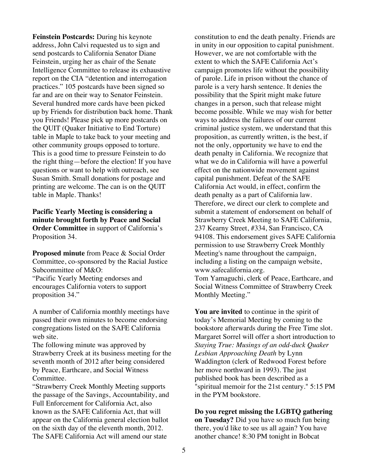**Feinstein Postcards:** During his keynote address, John Calvi requested us to sign and send postcards to California Senator Diane Feinstein, urging her as chair of the Senate Intelligence Committee to release its exhaustive report on the CIA "detention and interrogation practices." 105 postcards have been signed so far and are on their way to Senator Feinstein. Several hundred more cards have been picked up by Friends for distribution back home. Thank you Friends! Please pick up more postcards on the QUIT (Quaker Initiative to End Torture) table in Maple to take back to your meeting and other community groups opposed to torture. This is a good time to pressure Feinstein to do the right thing—before the election! If you have questions or want to help with outreach, see Susan Smith. Small donations for postage and printing are welcome. The can is on the QUIT table in Maple. Thanks!

**Pacific Yearly Meeting is considering a minute brought forth by Peace and Social Order Committee** in support of California's Proposition 34.

**Proposed minute** from Peace & Social Order Committee, co-sponsored by the Racial Justice Subcommittee of M&O: "Pacific Yearly Meeting endorses and encourages California voters to support proposition 34."

A number of California monthly meetings have passed their own minutes to become endorsing congregations listed on the SAFE California web site.

The following minute was approved by Strawberry Creek at its business meeting for the seventh month of 2012 after being considered by Peace, Earthcare, and Social Witness Committee.

"Strawberry Creek Monthly Meeting supports the passage of the Savings, Accountability, and Full Enforcement for California Act, also known as the SAFE California Act, that will appear on the California general election ballot on the sixth day of the eleventh month, 2012. The SAFE California Act will amend our state

constitution to end the death penalty. Friends are in unity in our opposition to capital punishment. However, we are not comfortable with the extent to which the SAFE California Act's campaign promotes life without the possibility of parole. Life in prison without the chance of parole is a very harsh sentence. It denies the possibility that the Spirit might make future changes in a person, such that release might become possible. While we may wish for better ways to address the failures of our current criminal justice system, we understand that this proposition, as currently written, is the best, if not the only, opportunity we have to end the death penalty in California. We recognize that what we do in California will have a powerful effect on the nationwide movement against capital punishment. Defeat of the SAFE California Act would, in effect, confirm the death penalty as a part of California law. Therefore, we direct our clerk to complete and submit a statement of endorsement on behalf of Strawberry Creek Meeting to SAFE California, 237 Kearny Street, #334, San Francisco, CA 94108. This endorsement gives SAFE California permission to use Strawberry Creek Monthly Meeting's name throughout the campaign, including a listing on the campaign website, www.safecalifornia.org. Tom Yamaguchi, clerk of Peace, Earthcare, and

Social Witness Committee of Strawberry Creek Monthly Meeting."

**You are invited** to continue in the spirit of today's Memorial Meeting by coming to the bookstore afterwards during the Free Time slot. Margaret Sorrel will offer a short introduction to *Staying True: Musings of an odd-duck Quaker Lesbian Approaching Death* by Lynn Waddington (clerk of Redwood Forest before her move northward in 1993). The just published book has been described as a "spiritual memoir for the 21st century." 5:15 PM in the PYM bookstore.

## **Do you regret missing the LGBTQ gathering on Tuesday?** Did you have so much fun being there, you'd like to see us all again? You have another chance! 8:30 PM tonight in Bobcat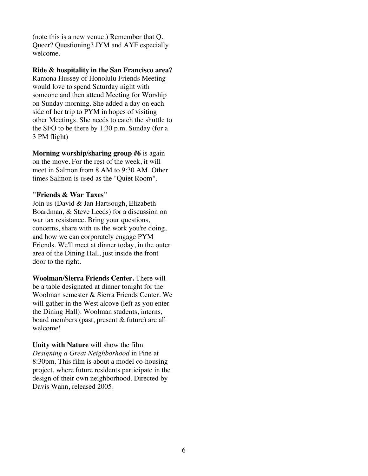(note this is a new venue.) Remember that Q. Queer? Questioning? JYM and AYF especially welcome.

#### **Ride & hospitality in the San Francisco area?** Ramona Hussey of Honolulu Friends Meeting

would love to spend Saturday night with someone and then attend Meeting for Worship on Sunday morning. She added a day on each side of her trip to PYM in hopes of visiting other Meetings. She needs to catch the shuttle to the SFO to be there by 1:30 p.m. Sunday (for a 3 PM flight)

**Morning worship/sharing group #6** is again on the move. For the rest of the week, it will meet in Salmon from 8 AM to 9:30 AM. Other times Salmon is used as the "Quiet Room".

# **"Friends & War Taxes"**

Join us (David & Jan Hartsough, Elizabeth Boardman, & Steve Leeds) for a discussion on war tax resistance. Bring your questions, concerns, share with us the work you're doing, and how we can corporately engage PYM Friends. We'll meet at dinner today, in the outer area of the Dining Hall, just inside the front door to the right.

**Woolman/Sierra Friends Center.** There will be a table designated at dinner tonight for the Woolman semester & Sierra Friends Center. We will gather in the West alcove (left as you enter the Dining Hall). Woolman students, interns, board members (past, present & future) are all welcome!

**Unity with Nature** will show the film *Designing a Great Neighborhood* in Pine at 8:30pm. This film is about a model co-housing project, where future residents participate in the design of their own neighborhood. Directed by Davis Wann, released 2005.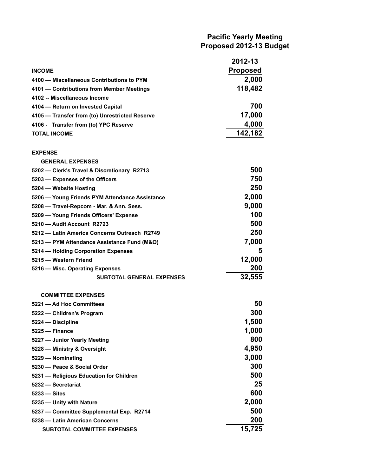# **Pacific Yearly Meeting Proposed 2012-13 Budget**

|                                                | 2012-13         |
|------------------------------------------------|-----------------|
| <b>INCOME</b>                                  | <b>Proposed</b> |
| 4100 - Miscellaneous Contributions to PYM      | 2,000           |
| 4101 - Contributions from Member Meetings      | 118,482         |
| 4102 -- Miscellaneous Income                   |                 |
| 4104 - Return on Invested Capital              | 700             |
| 4105 - Transfer from (to) Unrestricted Reserve | 17,000          |
| 4106 - Transfer from (to) YPC Reserve          | 4,000           |
| <b>TOTAL INCOME</b>                            | 142,182         |
| <b>EXPENSE</b>                                 |                 |
| <b>GENERAL EXPENSES</b>                        |                 |
| 5202 - Clerk's Travel & Discretionary R2713    | 500             |
| 5203 – Expenses of the Officers                | 750             |
| 5204 - Website Hosting                         | 250             |
| 5206 - Young Friends PYM Attendance Assistance | 2,000           |
| 5208 - Travel-Repcom - Mar. & Ann. Sess.       | 9,000           |
| 5209 - Young Friends Officers' Expense         | 100             |
| 5210 - Audit Account R2723                     | 500             |
| 5212 - Latin America Concerns Outreach R2749   | 250             |
| 5213 - PYM Attendance Assistance Fund (M&O)    | 7,000           |
| 5214 – Holding Corporation Expenses            | 5               |
| 5215 - Western Friend                          | 12,000          |
| 5216 - Misc. Operating Expenses                | 200             |
| <b>SUBTOTAL GENERAL EXPENSES</b>               | 32,555          |
| <b>COMMITTEE EXPENSES</b>                      |                 |
| 5221 - Ad Hoc Committees                       | 50              |
| 5222 - Children's Program                      | 300             |
| 5224 - Discipline                              | 1,500           |
| 5225 - Finance                                 | 1,000           |
| 5227 - Junior Yearly Meeting                   | 800             |
| 5228 - Ministry & Oversight                    | 4,950           |
| 5229 - Nominating                              | 3,000           |
| 5230 - Peace & Social Order                    | 300             |
| 5231 - Religious Education for Children        | 500             |
| 5232 - Secretariat                             | 25              |
| 5233 - Sites                                   | 600             |
| 5235 - Unity with Nature                       | 2,000           |
| 5237 - Committee Supplemental Exp. R2714       | 500             |
| 5238 - Latin American Concerns                 | 200             |
| <b>SUBTOTAL COMMITTEE EXPENSES</b>             | 15,725          |